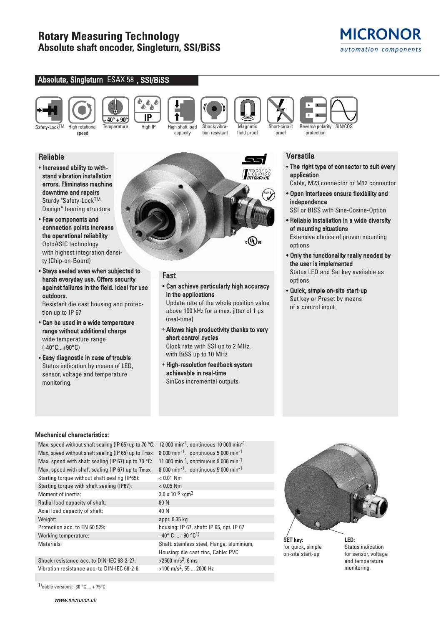# **Rotary Measuring Technology Absolute shaft encoder, Singleturn, SSI/BiSS**



## Absolute, Singleturn ESAX 58 , SSI/BiSS





Safety-Lock<sup>TM</sup> High rotational speed

Temperature High IP High shaft load



capacity



**Magnetic** field proof





**Doo** ۵ IP

tion resistant

protection

## Reliable

- Increased ability to withstand vibration installation errors. Eliminates machine downtime and repairs Sturdy "Safety-LockTM Design" bearing structure
- Few components and connection points increase the operational reliability OptoASIC technology with highest integration density (Chip-on-Board)
- Stays sealed even when subjected to harsh everyday use. Offers security against failures in the field. Ideal for use outdoors.

Resistant die cast housing and protection up to IP 67

- Can be used in a wide temperature range without additional charge wide temperature range (-40°C...+90°C)
- Easy diagnostic in case of trouble Status indication by means of LED, sensor, voltage and temperature monitoring.



## Fast

### • Can achieve particularly high accuracy in the applications

Update rate of the whole position value above 100 kHz for a max. jitter of 1 μs (real-time)

- Allows high productivity thanks to very short control cycles Clock rate with SSI up to 2 MHz, with BiSS up to 10 MHz
- High-resolution feedback system achievable in real-time SinCos incremental outputs.

## **Versatile**

- The right type of connector to suit every application
- Cable, M23 connector or M12 connector
- Open interfaces ensure flexibility and independence
- SSI or BISS with Sine-Cosine-Option
- Reliable installation in a wide diversity of mounting situations Extensive choice of proven mounting options
- Only the functionality really needed by the user is implemented Status LED and Set key available as options
- Quick, simple on-site start-up Set key or Preset by means of a control input

## Mechanical characteristics:

Max. speed without shaft sealing (IP 65) up to 70 °C: 12 000 min<sup>-1</sup>, continuous 10 000 min<sup>-1</sup> Max. speed without shaft sealing (IP 65) up to Tmax: 8 000 min<sup>-1</sup>, continuous 5 000 min<sup>-1</sup> Max. speed with shaft sealing (IP 67) up to 70 °C: 11 000 min<sup>-1</sup>, continuous 9 000 min<sup>-1</sup> Max. speed with shaft sealing (IP 67) up to Tmax: 8 000 min<sup>-1</sup>, continuous 5 000 min<sup>-1</sup> Starting torque without shaft sealing (IP65): < 0.01 Nm Starting torque with shaft sealing (IP67): < 0.05 Nm Moment of inertia:  $3.0 \times 10^{-6}$  kgm<sup>2</sup> Radial load capacity of shaft: 80 N Axial load capacity of shaft: 40 N Weight: appr. 0.35 kg Protection acc. to EN 60 529: housing: IP 67, shaft: IP 65, opt. IP 67 Working temperature:  $-40^{\circ}$  C ... +90  $^{\circ}$ C<sup>1)</sup> Materials: Shaft: stainless steel, Flange: aluminium,

Shock resistance acc. to DIN-IEC 68-2-27:  $>2500 \text{ m/s}^2$ , 6 ms Vibration resistance acc. to DIN-IEC 68-2-6:  $>100 \text{ m/s}^2$ , 55 ... 2000 Hz

1)cable versions: -30  $\degree$ C ... + 75 $\degree$ C

Housing: die cast zinc, Cable: PVC



for quick, simple on-site start-up

Status indication for sensor, voltage and temperature monitoring.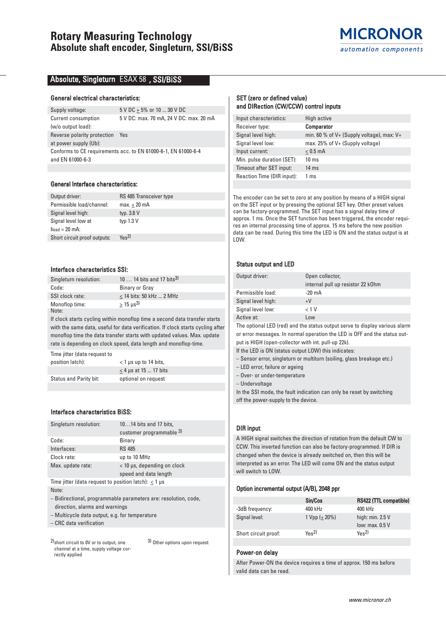## **Rotary Measuring Technology Absolute shaft encoder, Singleturn, SSI/BiSS**



## Absolute, Singleturn ESAX 58 , SSI/BiSS

#### General electrical characteristics:

Supply voltage:  $5 \text{ V DC} \pm 5\%$  or 10 ... 30 V DC Current consumption 5 V DC: max. 70 mA, 24 V DC: max. 20 mA (w/o output load): Reverse polarity protection Yes at power supply (Ub): Conforms to CE requirements acc. to EN 61000-6-1, EN 61000-6-4 and EN 61000-6-3

#### General Interface characteristics:

| Output driver:               | RS 485 Transceiver type      |
|------------------------------|------------------------------|
| Permissible load/channel:    | $max.+20$ mA                 |
| Signal level high:           | typ. 3.8 V                   |
| Signal level low at          | typ $1.3 V$                  |
| $load = 20$ mA:              |                              |
| Short circuit proof outputs: | $Y_{\text{BS}}$ <sup>2</sup> |
|                              |                              |

#### Interface characteristics SSI:

| Singleturn resolution: | 10  14 bits and 17 bits <sup>3)</sup> |
|------------------------|---------------------------------------|
| Code:                  | Binary or Gray                        |
| SSI clock rate:        | $<$ 14 bits: 50 kHz  2 MHz            |
| Monoflop time:         | $> 15 \text{ us}^3$                   |
| Note:                  |                                       |

If clock starts cycling within monoflop time a second data transfer starts with the same data, useful for data verification. If clock starts cycling after monoflop time the data transfer starts with updated values. Max. update rate is depending on clock speed, data length and monoflop-time.

Time jitter (data request to position latch): < 1 μs up to 14 bits,  $\leq$  4 µs at 15 ... 17 bits Status and Parity bit: optional on request

## Interface characteristics BiSS:

| Singleturn resolution:                                      | 1014 bits and 17 bits,        |  |  |  |  |  |
|-------------------------------------------------------------|-------------------------------|--|--|--|--|--|
|                                                             | customer programmable 3)      |  |  |  |  |  |
| Code:                                                       | Binary                        |  |  |  |  |  |
| Interfaces:                                                 | <b>RS 485</b>                 |  |  |  |  |  |
| Clock rate:                                                 | up to 10 MHz                  |  |  |  |  |  |
| Max. update rate:                                           | $<$ 10 µs, depending on clock |  |  |  |  |  |
|                                                             | speed and data length         |  |  |  |  |  |
| Time jitter (data request to position latch): $<$ 1 $\mu$ s |                               |  |  |  |  |  |
|                                                             |                               |  |  |  |  |  |

Note:

– Bidirectional, programmable parameters are: resolution, code, direction, alarms and warnings

– Multicycle data output, e.g. for temperature

– CRC data verification

2)short circuit to 0V or to output, one channel at a time, supply voltage correctly applied 3) Other options upon request

#### SET (zero or defined value) and DIRection (CW/CCW) control inputs

| Input characteristics:     | High active                                   |
|----------------------------|-----------------------------------------------|
| Receiver type:             | <b>Comparator</b>                             |
| Signal level high:         | min. 60 % of $V+$ (Supply voltage), max: $V+$ |
| Signal level low:          | max. 25% of V+ (Supply voltage)               |
| Input current:             | $< 0.5$ mA                                    |
| Min. pulse duration (SET): | $10 \text{ ms}$                               |
| Timeout after SET input:   | $14 \text{ ms}$                               |
| Reaction Time (DIR input): | 1 ms                                          |

The encoder can be set to zero at any position by means of a HIGH signal on the SET input or by pressing the optional SET key. Other preset values can be factory-programmed. The SET input has a signal delay time of approx. 1 ms. Once the SET function has been triggered, the encoder requires an internal processing time of approx. 15 ms before the new position data can be read. During this time the LED is ON and the status output is at LOW.

#### Status output and LED

| Output driver:     | Open collector,                   |
|--------------------|-----------------------------------|
|                    | internal pull up resistor 22 k0hm |
| Permissible load:  | $-20 \text{ mA}$                  |
| Signal level high: | $+V$                              |
| Signal level low:  | < 1 V                             |
| Active at:         | Low                               |

The optional LED (red) and the status output serve to display various alarm or error messages. In normal operation the LED is OFF and the status out-

put is HIGH (open-collector with int. pull-up 22k). If the LED is ON (status output LOW) this indicates:

– Sensor error, singleturn or multiturn (soiling, glass breakage etc.)

– LED error, failure or ageing

– Over- or under-temperature

– Undervoltage

In the SSI mode, the fault indication can only be reset by switching off the power-supply to the device.

## DIR input

A HIGH signal switches the direction of rotation from the default CW to CCW. This inverted function can also be factory-programmed. If DIR is changed when the device is already switched on, then this will be interpreted as an error. The LED will come ON and the status output will switch to LOW.

#### Option incremental output (A/B), 2048 ppr

|                      | Sin/Cos                      | RS422 (TTL compatible)       |
|----------------------|------------------------------|------------------------------|
| -3dB frequency:      | 400 kHz                      | 400 kHz                      |
| Signal level:        | 1 Vpp $(+ 20\%)$             | high: $min. 2.5 V$           |
|                      |                              | low: $max. 0.5 V$            |
| Short circuit proof: | $Y_{\text{BS}}$ <sup>2</sup> | $Y_{\text{BS}}$ <sup>2</sup> |

#### Power-on delay

After Power-ON the device requires a time of approx. 150 ms before valid data can be read.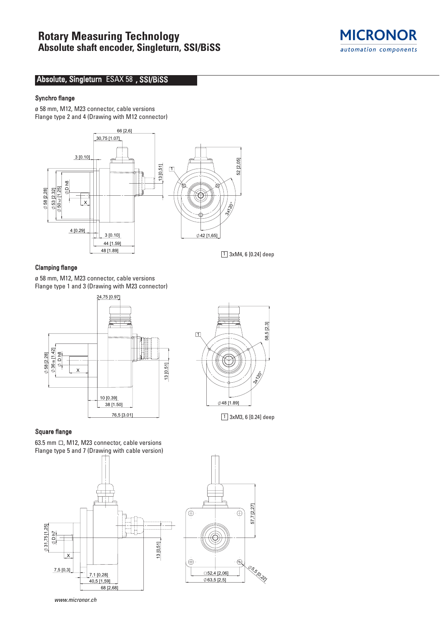# **Rotary Measuring Technology Absolute shaft encoder, Singleturn, SSI/BiSS**



## Absolute, Singleturn ESAX 58 , SSI/BiSS

## Synchro flange

ø 58 mm, M12, M23 connector, cable versions Flange type 2 and 4 (Drawing with M12 connector)



## Clamping flange

ø 58 mm, M12, M23 connector, cable versions Flange type 1 and 3 (Drawing with M23 connector)





63.5 mm  $\Box$ , M12, M23 connector, cable versions Flange type 5 and 7 (Drawing with cable version)







www.micronor.ch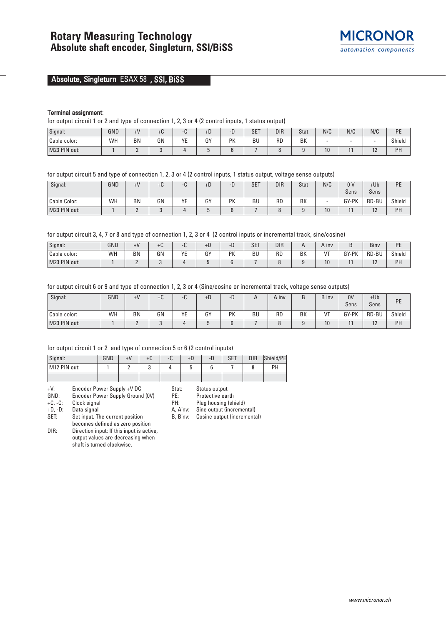

## Absolute, Singleturn ESAX 58 , SSI, BiSS

#### Terminal assignment:

for output circuit 1 or 2 and type of connection 1, 2, 3 or 4 (2 control inputs, 1 status output)

| Signal:      | GND | $+V$      | $+U$ | U  | $+b$ | −<br>-D | <b>SET</b> | <b>DIR</b> | Stat | N/C | N/C | N/C                  | DE<br>-         |
|--------------|-----|-----------|------|----|------|---------|------------|------------|------|-----|-----|----------------------|-----------------|
| Cable color: | WH  | <b>BN</b> | GN   | YE | GY   | PK      | BU         | <b>RD</b>  | BK   | . . |     |                      | Shield          |
| M23 PIN out: |     | -         |      |    |      |         |            |            |      | 10  |     | $\sim$<br>. <u>.</u> | <b>DL</b><br>гн |

for output circuit 5 and type of connection 1, 2, 3 or 4 (2 control inputs, 1 status output, voltage sense outputs)

| Signal:      | GND | $+V$      | +u | C<br>™ | $+D$ | -D | <b>SET</b> | <b>DIR</b> | Stat | N/C             | 0 <sup>0</sup> | $+Ub$ | рE     |
|--------------|-----|-----------|----|--------|------|----|------------|------------|------|-----------------|----------------|-------|--------|
|              |     |           |    |        |      |    |            |            |      |                 | Sens           | Sens  |        |
| Cable Color: | WH  | <b>BN</b> | GN | ΥE     | GY   | PK | BU         | <b>RD</b>  | BK   |                 | GY-PK          | RD-BU | Shield |
| M23 PIN out: |     |           |    |        |      |    |            |            |      | 10 <sup>°</sup> |                | 10    | РH     |

for output circuit 3, 4, 7 or 8 and type of connection 1, 2, 3 or 4 (2 control inputs or incremental track, sine/cosine)

| Signal:      | GND | + V | TU.                       |                          | +L            |                 | <b>SET</b> | <b>DIR</b> |    | A inv       | ◡          | $\overline{\phantom{a}}$<br>Biny | DE<br>- |
|--------------|-----|-----|---------------------------|--------------------------|---------------|-----------------|------------|------------|----|-------------|------------|----------------------------------|---------|
| Cable color: | WH  | BN  | $\sim$ N<br>ווט<br>$\sim$ | $V_{\Gamma}$<br>. .<br>- | $\sim$<br>ו ט | <b>DV</b><br>'N | <b>BU</b>  | <b>RD</b>  | BK | $^{\prime}$ | -PK<br>GY. | RD-BU                            | Shield  |
| M23 PIN out: |     |     |                           |                          |               |                 |            |            |    | 10          |            | $\sim$<br>$\sim$                 | PH      |

for output circuit 6 or 9 and type of connection 1, 2, 3 or 4 (Sine/cosine or incremental track, voltage sense outputs)

| Signal:      | GND | $+V$      | $+C$ | ີ<br>⊤⊍⊹ | $+b$ | ÷ь.       |           | $\overline{A}$ inv | D  | B inv | 0V<br>Sens | $+Ub$<br>Sens | PE     |
|--------------|-----|-----------|------|----------|------|-----------|-----------|--------------------|----|-------|------------|---------------|--------|
| Cable color: | WH  | <b>BN</b> | GN   | VE<br>∟  | GY   | <b>PK</b> | <b>BU</b> | <b>RD</b>          | BK | VT    | GY-PK      | RD-BU         | Shield |
| M23 PIN out: |     | -         |      |          |      |           |           |                    |    | 10    |            | 10<br>، ۱     | PH     |

#### for output circuit 1 or 2 and type of connection 5 or 6 (2 control inputs)

| Signal:      | GND | $+V$ | $+U$ | -6. | +D | $-D$ | <b>SET</b> | <b>DIR</b> | Shield/PE |
|--------------|-----|------|------|-----|----|------|------------|------------|-----------|
| M12 PIN out: |     | -    | ັ    |     |    |      |            |            | PH        |
|              |     |      |      |     |    |      |            |            |           |

+V: Encoder Power Supply +V DC

GND: Encoder Power Supply Ground (0V)<br>+C, -C: Clock signal

Clock signal

+D, -D: Data signal

SET: Set input. The current position

becomes defined as zero position

DIR: Direction input: If this input is active, output values are decreasing when shaft is turned clockwise.

Stat: Status output

PE: Protective earth<br>PH: Plug housing (sh

Plug housing (shield) A, Ainv: Sine output (incremental)

B, Binv: Cosine output (incremental)